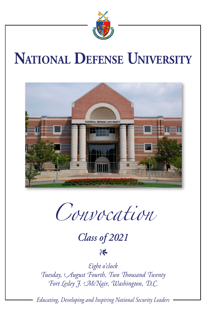

# **National Defense University**



*Convocation*

*Class of 2021*

### *1*

*Eight o'clock Tuesday, August Fourth, Two Thousand Twenty Fort Lesley J. McNair, Washington, D.C.*

*Educating, Developing and Inspiring National Security Leaders*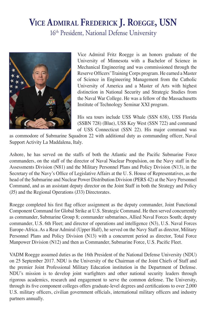## **Vice Admiral Frederick J. Roegge, USN** 16th President, National Defense University



Vice Admiral Fritz Roegge is an honors graduate of the University of Minnesota with a Bachelor of Science in Mechanical Engineering and was commissioned through the Reserve Officers' Training Corps program. He earned a Master of Science in Engineering Management from the Catholic University of America and a Master of Arts with highest distinction in National Security and Strategic Studies from the Naval War College. He was a fellow of the Massachusetts Institute of Technology Seminar XXI program.

His sea tours include USS Whale (SSN 638), USS Florida (SSBN 728) (Blue), USS Key West (SSN 722) and command of USS Connecticut (SSN 22). His major command was

as commodore of Submarine Squadron 22 with additional duty as commanding officer, Naval Support Activity La Maddalena, Italy.

Ashore, he has served on the staffs of both the Atlantic and the Pacific Submarine Force commanders, on the staff of the director of Naval Nuclear Propulsion, on the Navy staff in the Assessments Division (N81) and the Military Personnel Plans and Policy Division (N13), in the Secretary of the Navy's Office of Legislative Affairs at the U. S. House of Representatives, as the head of the Submarine and Nuclear Power Distribution Division (PERS 42) at the Navy Personnel Command, and as an assistant deputy director on the Joint Staff in both the Strategy and Policy (J5) and the Regional Operations (J33) Directorates.

Roegge completed his first flag officer assignment as the deputy commander, Joint Functional Component Command for Global Strike at U.S. Strategic Command. He then served concurrently as commander, Submarine Group 8; commander submarines, Allied Naval Forces South; deputy commander, U.S. 6th Fleet; and director of operations and intelligence (N3), U.S. Naval Forces Europe-Africa. As a Rear Admiral (Upper Half), he served on the Navy Staff as director, Military Personnel Plans and Policy Division (N13) with a concurrent period as director, Total Force Manpower Division (N12) and then as Commander, Submarine Force, U.S. Pacific Fleet.

VADM Roegge assumed duties as the 16th President of the National Defense University (NDU) on 25 September 2017. NDU is the University of the Chairman of the Joint Chiefs of Staff and the premier Joint Professional Military Education institution in the Department of Defense. NDU's mission is to develop joint warfighters and other national security leaders through rigorous academics, research and engagement to serve the common defense. The University, through its five component colleges offers graduate-level degrees and certifications to over 2,000 U.S. military officers, civilian government officials, international military officers and industry partners annually.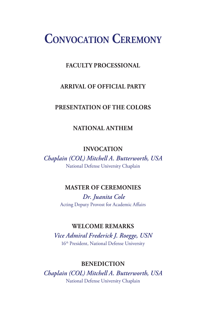# **Convocation Ceremony**

#### **FACULTY PROCESSIONAL**

#### **ARRIVAL OF OFFICIAL PARTY**

#### **PRESENTATION OF THE COLORS**

#### **NATIONAL ANTHEM**

#### **INVOCATION**

*Chaplain (COL) Mitchell A. Butterworth, USA* National Defense University Chaplain

#### **MASTER OF CEREMONIES**

 *Dr. Juanita Cole* Acting Deputy Provost for Academic Affairs

#### **WELCOME REMARKS**

*Vice Admiral Frederick J. Roegge, USN* 16th President, National Defense University

#### **BENEDICTION**

*Chaplain (COL) Mitchell A. Butterworth, USA* National Defense University Chaplain